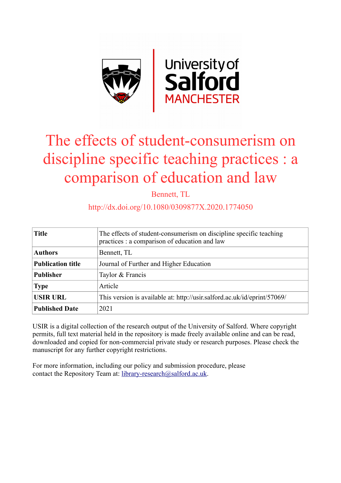

# The effects of student-consumerism on discipline specific teaching practices : a comparison of education and law

Bennett, TL

#### http://dx.doi.org/10.1080/0309877X.2020.1774050

| <b>Title</b>             | The effects of student-consumerism on discipline specific teaching<br>practices : a comparison of education and law |
|--------------------------|---------------------------------------------------------------------------------------------------------------------|
| <b>Authors</b>           | Bennett, TL                                                                                                         |
| <b>Publication title</b> | Journal of Further and Higher Education                                                                             |
| <b>Publisher</b>         | Taylor & Francis                                                                                                    |
| <b>Type</b>              | Article                                                                                                             |
| <b>USIR URL</b>          | This version is available at: http://usir.salford.ac.uk/id/eprint/57069/                                            |
| <b>Published Date</b>    | 2021                                                                                                                |

USIR is a digital collection of the research output of the University of Salford. Where copyright permits, full text material held in the repository is made freely available online and can be read, downloaded and copied for non-commercial private study or research purposes. Please check the manuscript for any further copyright restrictions.

For more information, including our policy and submission procedure, please contact the Repository Team at: [library-research@salford.ac.uk.](mailto:library-research@salford.ac.uk)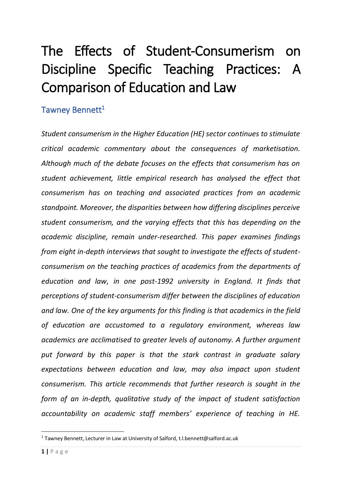# The Effects of Student-Consumerism on Discipline Specific Teaching Practices: A Comparison of Education and Law

# Tawney Bennett<sup>1</sup>

*Student consumerism in the Higher Education (HE) sector continues to stimulate critical academic commentary about the consequences of marketisation. Although much of the debate focuses on the effects that consumerism has on student achievement, little empirical research has analysed the effect that consumerism has on teaching and associated practices from an academic standpoint. Moreover, the disparities between how differing disciplines perceive student consumerism, and the varying effects that this has depending on the academic discipline, remain under-researched. This paper examines findings from eight in-depth interviews that sought to investigate the effects of studentconsumerism on the teaching practices of academics from the departments of education and law, in one post-1992 university in England. It finds that perceptions of student-consumerism differ between the disciplines of education and law. One of the key arguments for this finding is that academics in the field of education are accustomed to a regulatory environment, whereas law academics are acclimatised to greater levels of autonomy. A further argument put forward by this paper is that the stark contrast in graduate salary expectations between education and law, may also impact upon student consumerism. This article recommends that further research is sought in the form of an in-depth, qualitative study of the impact of student satisfaction accountability on academic staff members' experience of teaching in HE.*

<sup>&</sup>lt;sup>1</sup> Tawney Bennett, Lecturer in Law at University of Salford, t.l.bennett@salford.ac.uk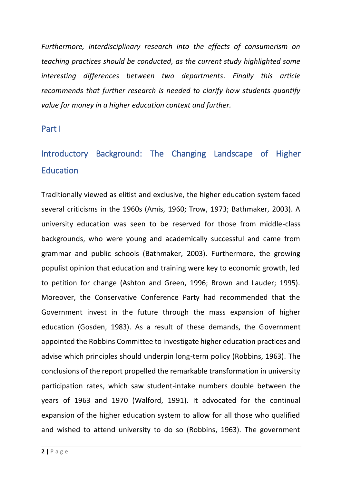*Furthermore, interdisciplinary research into the effects of consumerism on teaching practices should be conducted, as the current study highlighted some interesting differences between two departments. Finally this article recommends that further research is needed to clarify how students quantify value for money in a higher education context and further.*

Part I

# Introductory Background: The Changing Landscape of Higher **Education**

Traditionally viewed as elitist and exclusive, the higher education system faced several criticisms in the 1960s (Amis, 1960; Trow, 1973; Bathmaker, 2003). A university education was seen to be reserved for those from middle-class backgrounds, who were young and academically successful and came from grammar and public schools (Bathmaker, 2003). Furthermore, the growing populist opinion that education and training were key to economic growth, led to petition for change (Ashton and Green, 1996; Brown and Lauder; 1995). Moreover, the Conservative Conference Party had recommended that the Government invest in the future through the mass expansion of higher education (Gosden, 1983). As a result of these demands, the Government appointed the Robbins Committee to investigate higher education practices and advise which principles should underpin long-term policy (Robbins, 1963). The conclusions of the report propelled the remarkable transformation in university participation rates, which saw student-intake numbers double between the years of 1963 and 1970 (Walford, 1991). It advocated for the continual expansion of the higher education system to allow for all those who qualified and wished to attend university to do so (Robbins, 1963). The government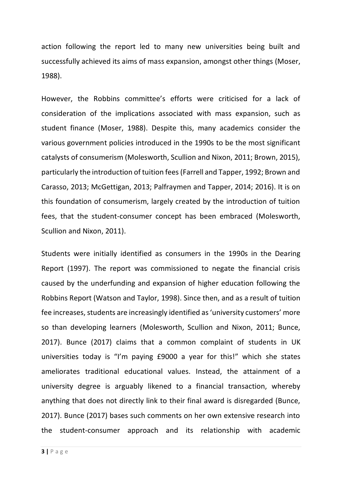action following the report led to many new universities being built and successfully achieved its aims of mass expansion, amongst other things (Moser, 1988).

However, the Robbins committee's efforts were criticised for a lack of consideration of the implications associated with mass expansion, such as student finance (Moser, 1988). Despite this, many academics consider the various government policies introduced in the 1990s to be the most significant catalysts of consumerism (Molesworth, Scullion and Nixon, 2011; Brown, 2015), particularly the introduction of tuition fees (Farrell and Tapper, 1992; Brown and Carasso, 2013; McGettigan, 2013; Palfraymen and Tapper, 2014; 2016). It is on this foundation of consumerism, largely created by the introduction of tuition fees, that the student-consumer concept has been embraced (Molesworth, Scullion and Nixon, 2011).

Students were initially identified as consumers in the 1990s in the Dearing Report (1997). The report was commissioned to negate the financial crisis caused by the underfunding and expansion of higher education following the Robbins Report (Watson and Taylor, 1998). Since then, and as a result of tuition fee increases, students are increasingly identified as 'university customers' more so than developing learners (Molesworth, Scullion and Nixon, 2011; Bunce, 2017). Bunce (2017) claims that a common complaint of students in UK universities today is "I'm paying £9000 a year for this!" which she states ameliorates traditional educational values. Instead, the attainment of a university degree is arguably likened to a financial transaction, whereby anything that does not directly link to their final award is disregarded (Bunce, 2017). Bunce (2017) bases such comments on her own extensive research into the student-consumer approach and its relationship with academic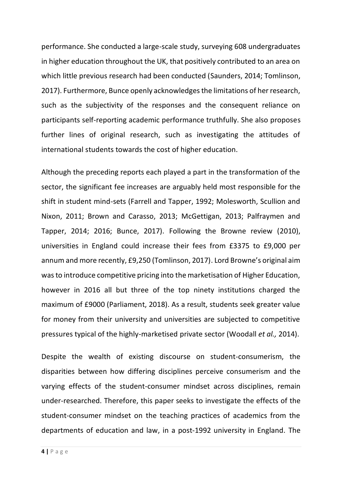performance. She conducted a large-scale study, surveying 608 undergraduates in higher education throughout the UK, that positively contributed to an area on which little previous research had been conducted (Saunders, 2014; Tomlinson, 2017). Furthermore, Bunce openly acknowledges the limitations of her research, such as the subjectivity of the responses and the consequent reliance on participants self-reporting academic performance truthfully. She also proposes further lines of original research, such as investigating the attitudes of international students towards the cost of higher education.

Although the preceding reports each played a part in the transformation of the sector, the significant fee increases are arguably held most responsible for the shift in student mind-sets (Farrell and Tapper, 1992; Molesworth, Scullion and Nixon, 2011; Brown and Carasso, 2013; McGettigan, 2013; Palfraymen and Tapper, 2014; 2016; Bunce, 2017). Following the Browne review (2010), universities in England could increase their fees from £3375 to £9,000 per annum and more recently, £9,250 (Tomlinson, 2017). Lord Browne's original aim was to introduce competitive pricing into the marketisation of Higher Education, however in 2016 all but three of the top ninety institutions charged the maximum of £9000 (Parliament, 2018). As a result, students seek greater value for money from their university and universities are subjected to competitive pressures typical of the highly-marketised private sector (Woodall *et al.,* 2014).

Despite the wealth of existing discourse on student-consumerism, the disparities between how differing disciplines perceive consumerism and the varying effects of the student-consumer mindset across disciplines, remain under-researched. Therefore, this paper seeks to investigate the effects of the student-consumer mindset on the teaching practices of academics from the departments of education and law, in a post-1992 university in England. The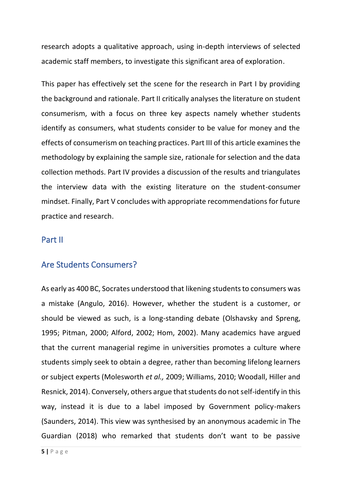research adopts a qualitative approach, using in-depth interviews of selected academic staff members, to investigate this significant area of exploration.

This paper has effectively set the scene for the research in Part I by providing the background and rationale. Part II critically analyses the literature on student consumerism, with a focus on three key aspects namely whether students identify as consumers, what students consider to be value for money and the effects of consumerism on teaching practices. Part III of this article examines the methodology by explaining the sample size, rationale for selection and the data collection methods. Part IV provides a discussion of the results and triangulates the interview data with the existing literature on the student-consumer mindset. Finally, Part V concludes with appropriate recommendations for future practice and research.

#### Part II

#### Are Students Consumers?

As early as 400 BC, Socrates understood that likening students to consumers was a mistake (Angulo, 2016). However, whether the student is a customer, or should be viewed as such, is a long-standing debate (Olshavsky and Spreng, 1995; Pitman, 2000; Alford, 2002; Hom, 2002). Many academics have argued that the current managerial regime in universities promotes a culture where students simply seek to obtain a degree, rather than becoming lifelong learners or subject experts (Molesworth *et al.,* 2009; Williams, 2010; Woodall, Hiller and Resnick, 2014). Conversely, others argue that students do not self-identify in this way, instead it is due to a label imposed by Government policy-makers (Saunders, 2014). This view was synthesised by an anonymous academic in The Guardian (2018) who remarked that students don't want to be passive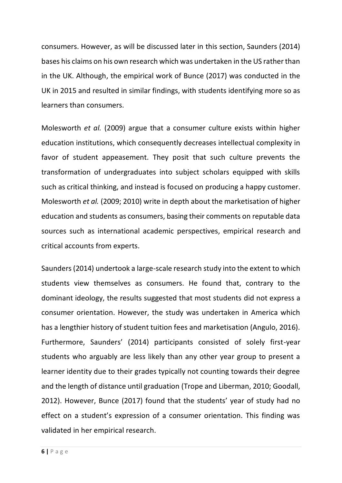consumers. However, as will be discussed later in this section, Saunders (2014) bases his claims on his own research which was undertaken in the US rather than in the UK. Although, the empirical work of Bunce (2017) was conducted in the UK in 2015 and resulted in similar findings, with students identifying more so as learners than consumers.

Molesworth *et al.* (2009) argue that a consumer culture exists within higher education institutions, which consequently decreases intellectual complexity in favor of student appeasement. They posit that such culture prevents the transformation of undergraduates into subject scholars equipped with skills such as critical thinking, and instead is focused on producing a happy customer. Molesworth *et al.* (2009; 2010) write in depth about the marketisation of higher education and students as consumers, basing their comments on reputable data sources such as international academic perspectives, empirical research and critical accounts from experts.

Saunders (2014) undertook a large-scale research study into the extent to which students view themselves as consumers. He found that, contrary to the dominant ideology, the results suggested that most students did not express a consumer orientation. However, the study was undertaken in America which has a lengthier history of student tuition fees and marketisation (Angulo, 2016). Furthermore, Saunders' (2014) participants consisted of solely first-year students who arguably are less likely than any other year group to present a learner identity due to their grades typically not counting towards their degree and the length of distance until graduation (Trope and Liberman, 2010; Goodall, 2012). However, Bunce (2017) found that the students' year of study had no effect on a student's expression of a consumer orientation. This finding was validated in her empirical research.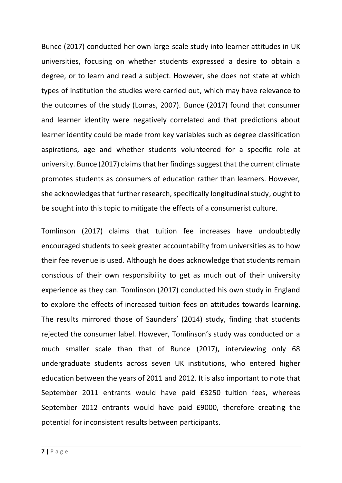Bunce (2017) conducted her own large-scale study into learner attitudes in UK universities, focusing on whether students expressed a desire to obtain a degree, or to learn and read a subject. However, she does not state at which types of institution the studies were carried out, which may have relevance to the outcomes of the study (Lomas, 2007). Bunce (2017) found that consumer and learner identity were negatively correlated and that predictions about learner identity could be made from key variables such as degree classification aspirations, age and whether students volunteered for a specific role at university. Bunce (2017) claims that her findings suggest that the current climate promotes students as consumers of education rather than learners. However, she acknowledges that further research, specifically longitudinal study, ought to be sought into this topic to mitigate the effects of a consumerist culture.

Tomlinson (2017) claims that tuition fee increases have undoubtedly encouraged students to seek greater accountability from universities as to how their fee revenue is used. Although he does acknowledge that students remain conscious of their own responsibility to get as much out of their university experience as they can. Tomlinson (2017) conducted his own study in England to explore the effects of increased tuition fees on attitudes towards learning. The results mirrored those of Saunders' (2014) study, finding that students rejected the consumer label. However, Tomlinson's study was conducted on a much smaller scale than that of Bunce (2017), interviewing only 68 undergraduate students across seven UK institutions, who entered higher education between the years of 2011 and 2012. It is also important to note that September 2011 entrants would have paid £3250 tuition fees, whereas September 2012 entrants would have paid £9000, therefore creating the potential for inconsistent results between participants.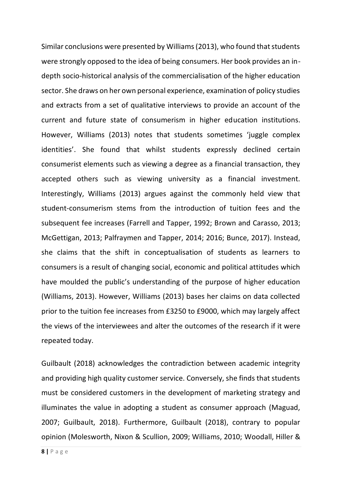Similar conclusions were presented by Williams (2013), who found that students were strongly opposed to the idea of being consumers. Her book provides an indepth socio-historical analysis of the commercialisation of the higher education sector. She draws on her own personal experience, examination of policy studies and extracts from a set of qualitative interviews to provide an account of the current and future state of consumerism in higher education institutions. However, Williams (2013) notes that students sometimes 'juggle complex identities'. She found that whilst students expressly declined certain consumerist elements such as viewing a degree as a financial transaction, they accepted others such as viewing university as a financial investment. Interestingly, Williams (2013) argues against the commonly held view that student-consumerism stems from the introduction of tuition fees and the subsequent fee increases (Farrell and Tapper, 1992; Brown and Carasso, 2013; McGettigan, 2013; Palfraymen and Tapper, 2014; 2016; Bunce, 2017). Instead, she claims that the shift in conceptualisation of students as learners to consumers is a result of changing social, economic and political attitudes which have moulded the public's understanding of the purpose of higher education (Williams, 2013). However, Williams (2013) bases her claims on data collected prior to the tuition fee increases from £3250 to £9000, which may largely affect the views of the interviewees and alter the outcomes of the research if it were repeated today.

Guilbault (2018) acknowledges the contradiction between academic integrity and providing high quality customer service. Conversely, she finds that students must be considered customers in the development of marketing strategy and illuminates the value in adopting a student as consumer approach (Maguad, 2007; Guilbault, 2018). Furthermore, Guilbault (2018), contrary to popular opinion (Molesworth, Nixon & Scullion, 2009; Williams, 2010; Woodall, Hiller &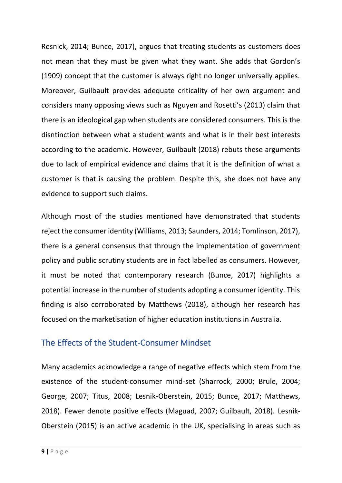Resnick, 2014; Bunce, 2017), argues that treating students as customers does not mean that they must be given what they want. She adds that Gordon's (1909) concept that the customer is always right no longer universally applies. Moreover, Guilbault provides adequate criticality of her own argument and considers many opposing views such as Nguyen and Rosetti's (2013) claim that there is an ideological gap when students are considered consumers. This is the disntinction between what a student wants and what is in their best interests according to the academic. However, Guilbault (2018) rebuts these arguments due to lack of empirical evidence and claims that it is the definition of what a customer is that is causing the problem. Despite this, she does not have any evidence to support such claims.

Although most of the studies mentioned have demonstrated that students reject the consumer identity (Williams, 2013; Saunders, 2014; Tomlinson, 2017), there is a general consensus that through the implementation of government policy and public scrutiny students are in fact labelled as consumers. However, it must be noted that contemporary research (Bunce, 2017) highlights a potential increase in the number of students adopting a consumer identity. This finding is also corroborated by Matthews (2018), although her research has focused on the marketisation of higher education institutions in Australia.

# The Effects of the Student-Consumer Mindset

Many academics acknowledge a range of negative effects which stem from the existence of the student-consumer mind-set (Sharrock, 2000; Brule, 2004; George, 2007; Titus, 2008; Lesnik-Oberstein, 2015; Bunce, 2017; Matthews, 2018). Fewer denote positive effects (Maguad, 2007; Guilbault, 2018). Lesnik-Oberstein (2015) is an active academic in the UK, specialising in areas such as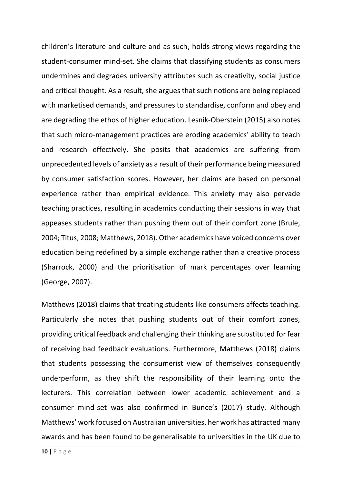children's literature and culture and as such, holds strong views regarding the student-consumer mind-set. She claims that classifying students as consumers undermines and degrades university attributes such as creativity, social justice and critical thought. As a result, she argues that such notions are being replaced with marketised demands, and pressures to standardise, conform and obey and are degrading the ethos of higher education. Lesnik-Oberstein (2015) also notes that such micro-management practices are eroding academics' ability to teach and research effectively. She posits that academics are suffering from unprecedented levels of anxiety as a result of their performance being measured by consumer satisfaction scores. However, her claims are based on personal experience rather than empirical evidence. This anxiety may also pervade teaching practices, resulting in academics conducting their sessions in way that appeases students rather than pushing them out of their comfort zone (Brule, 2004; Titus, 2008; Matthews, 2018). Other academics have voiced concerns over education being redefined by a simple exchange rather than a creative process (Sharrock, 2000) and the prioritisation of mark percentages over learning (George, 2007).

Matthews (2018) claims that treating students like consumers affects teaching. Particularly she notes that pushing students out of their comfort zones, providing critical feedback and challenging their thinking are substituted for fear of receiving bad feedback evaluations. Furthermore, Matthews (2018) claims that students possessing the consumerist view of themselves consequently underperform, as they shift the responsibility of their learning onto the lecturers. This correlation between lower academic achievement and a consumer mind-set was also confirmed in Bunce's (2017) study. Although Matthews' work focused on Australian universities, her work has attracted many awards and has been found to be generalisable to universities in the UK due to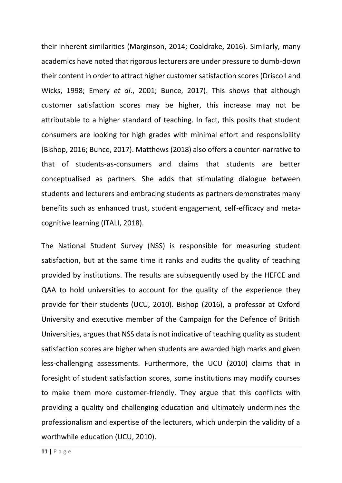their inherent similarities (Marginson, 2014; Coaldrake, 2016). Similarly, many academics have noted that rigorous lecturers are under pressure to dumb-down their content in order to attract higher customer satisfaction scores (Driscoll and Wicks, 1998; Emery *et al*., 2001; Bunce, 2017). This shows that although customer satisfaction scores may be higher, this increase may not be attributable to a higher standard of teaching. In fact, this posits that student consumers are looking for high grades with minimal effort and responsibility (Bishop, 2016; Bunce, 2017). Matthews (2018) also offers a counter-narrative to that of students-as-consumers and claims that students are better conceptualised as partners. She adds that stimulating dialogue between students and lecturers and embracing students as partners demonstrates many benefits such as enhanced trust, student engagement, self-efficacy and metacognitive learning (ITALI, 2018).

The National Student Survey (NSS) is responsible for measuring student satisfaction, but at the same time it ranks and audits the quality of teaching provided by institutions. The results are subsequently used by the HEFCE and QAA to hold universities to account for the quality of the experience they provide for their students (UCU, 2010). Bishop (2016), a professor at Oxford University and executive member of the Campaign for the Defence of British Universities, argues that NSS data is not indicative of teaching quality as student satisfaction scores are higher when students are awarded high marks and given less-challenging assessments. Furthermore, the UCU (2010) claims that in foresight of student satisfaction scores, some institutions may modify courses to make them more customer-friendly. They argue that this conflicts with providing a quality and challenging education and ultimately undermines the professionalism and expertise of the lecturers, which underpin the validity of a worthwhile education (UCU, 2010).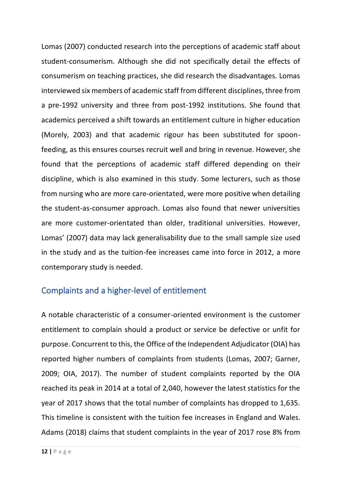Lomas (2007) conducted research into the perceptions of academic staff about student-consumerism. Although she did not specifically detail the effects of consumerism on teaching practices, she did research the disadvantages. Lomas interviewed six members of academic staff from different disciplines, three from a pre-1992 university and three from post-1992 institutions. She found that academics perceived a shift towards an entitlement culture in higher education (Morely, 2003) and that academic rigour has been substituted for spoonfeeding, as this ensures courses recruit well and bring in revenue. However, she found that the perceptions of academic staff differed depending on their discipline, which is also examined in this study. Some lecturers, such as those from nursing who are more care-orientated, were more positive when detailing the student-as-consumer approach. Lomas also found that newer universities are more customer-orientated than older, traditional universities. However, Lomas' (2007) data may lack generalisability due to the small sample size used in the study and as the tuition-fee increases came into force in 2012, a more contemporary study is needed.

# Complaints and a higher-level of entitlement

A notable characteristic of a consumer-oriented environment is the customer entitlement to complain should a product or service be defective or unfit for purpose. Concurrent to this, the Office of the Independent Adjudicator (OIA) has reported higher numbers of complaints from students (Lomas, 2007; Garner, 2009; OIA, 2017). The number of student complaints reported by the OIA reached its peak in 2014 at a total of 2,040, however the latest statistics for the year of 2017 shows that the total number of complaints has dropped to 1,635. This timeline is consistent with the tuition fee increases in England and Wales. Adams (2018) claims that student complaints in the year of 2017 rose 8% from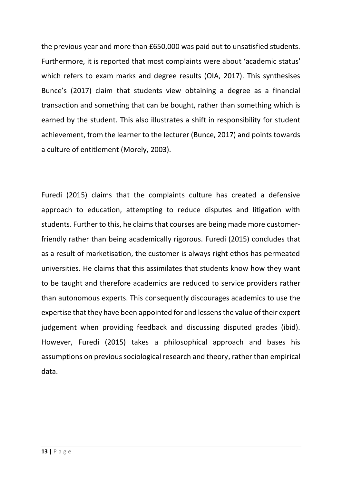the previous year and more than £650,000 was paid out to unsatisfied students. Furthermore, it is reported that most complaints were about 'academic status' which refers to exam marks and degree results (OIA, 2017). This synthesises Bunce's (2017) claim that students view obtaining a degree as a financial transaction and something that can be bought, rather than something which is earned by the student. This also illustrates a shift in responsibility for student achievement, from the learner to the lecturer (Bunce, 2017) and points towards a culture of entitlement (Morely, 2003).

Furedi (2015) claims that the complaints culture has created a defensive approach to education, attempting to reduce disputes and litigation with students. Further to this, he claims that courses are being made more customerfriendly rather than being academically rigorous. Furedi (2015) concludes that as a result of marketisation, the customer is always right ethos has permeated universities. He claims that this assimilates that students know how they want to be taught and therefore academics are reduced to service providers rather than autonomous experts. This consequently discourages academics to use the expertise that they have been appointed for and lessens the value of their expert judgement when providing feedback and discussing disputed grades (ibid). However, Furedi (2015) takes a philosophical approach and bases his assumptions on previous sociological research and theory, rather than empirical data.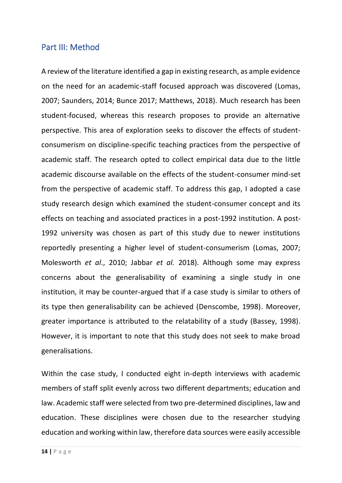#### Part III: Method

A review of the literature identified a gap in existing research, as ample evidence on the need for an academic-staff focused approach was discovered (Lomas, 2007; Saunders, 2014; Bunce 2017; Matthews, 2018). Much research has been student-focused, whereas this research proposes to provide an alternative perspective. This area of exploration seeks to discover the effects of studentconsumerism on discipline-specific teaching practices from the perspective of academic staff. The research opted to collect empirical data due to the little academic discourse available on the effects of the student-consumer mind-set from the perspective of academic staff. To address this gap, I adopted a case study research design which examined the student-consumer concept and its effects on teaching and associated practices in a post-1992 institution. A post-1992 university was chosen as part of this study due to newer institutions reportedly presenting a higher level of student-consumerism (Lomas, 2007; Molesworth *et al*., 2010; Jabbar *et al.* 2018). Although some may express concerns about the generalisability of examining a single study in one institution, it may be counter-argued that if a case study is similar to others of its type then generalisability can be achieved (Denscombe, 1998). Moreover, greater importance is attributed to the relatability of a study (Bassey, 1998). However, it is important to note that this study does not seek to make broad generalisations.

Within the case study, I conducted eight in-depth interviews with academic members of staff split evenly across two different departments; education and law. Academic staff were selected from two pre-determined disciplines, law and education. These disciplines were chosen due to the researcher studying education and working within law, therefore data sources were easily accessible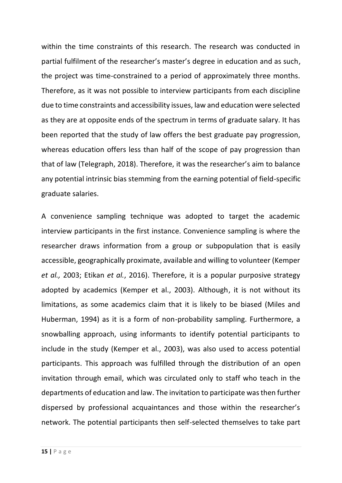within the time constraints of this research. The research was conducted in partial fulfilment of the researcher's master's degree in education and as such, the project was time-constrained to a period of approximately three months. Therefore, as it was not possible to interview participants from each discipline due to time constraints and accessibility issues, law and education were selected as they are at opposite ends of the spectrum in terms of graduate salary. It has been reported that the study of law offers the best graduate pay progression, whereas education offers less than half of the scope of pay progression than that of law (Telegraph, 2018). Therefore, it was the researcher's aim to balance any potential intrinsic bias stemming from the earning potential of field-specific graduate salaries.

A convenience sampling technique was adopted to target the academic interview participants in the first instance. Convenience sampling is where the researcher draws information from a group or subpopulation that is easily accessible, geographically proximate, available and willing to volunteer (Kemper *et al.,* 2003; Etikan *et al.*, 2016). Therefore, it is a popular purposive strategy adopted by academics (Kemper et al., 2003). Although, it is not without its limitations, as some academics claim that it is likely to be biased (Miles and Huberman, 1994) as it is a form of non-probability sampling. Furthermore, a snowballing approach, using informants to identify potential participants to include in the study (Kemper et al., 2003), was also used to access potential participants. This approach was fulfilled through the distribution of an open invitation through email, which was circulated only to staff who teach in the departments of education and law. The invitation to participate was then further dispersed by professional acquaintances and those within the researcher's network. The potential participants then self-selected themselves to take part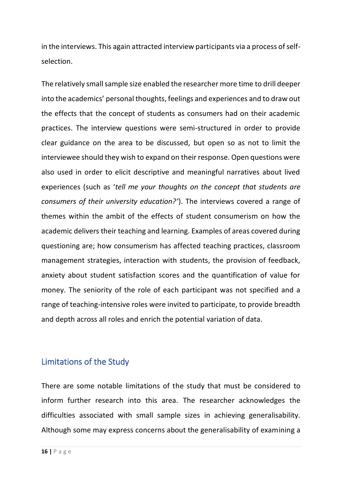in the interviews. This again attracted interview participants via a process of selfselection.

The relatively small sample size enabled the researcher more time to drill deeper into the academics' personal thoughts, feelings and experiences and to draw out the effects that the concept of students as consumers had on their academic practices. The interview questions were semi-structured in order to provide clear guidance on the area to be discussed, but open so as not to limit the interviewee should they wish to expand on their response. Open questions were also used in order to elicit descriptive and meaningful narratives about lived experiences (such as '*tell me your thoughts on the concept that students are consumers of their university education?'*). The interviews covered a range of themes within the ambit of the effects of student consumerism on how the academic delivers their teaching and learning. Examples of areas covered during questioning are; how consumerism has affected teaching practices, classroom management strategies, interaction with students, the provision of feedback, anxiety about student satisfaction scores and the quantification of value for money. The seniority of the role of each participant was not specified and a range of teaching-intensive roles were invited to participate, to provide breadth and depth across all roles and enrich the potential variation of data.

# Limitations of the Study

There are some notable limitations of the study that must be considered to inform further research into this area. The researcher acknowledges the difficulties associated with small sample sizes in achieving generalisability. Although some may express concerns about the generalisability of examining a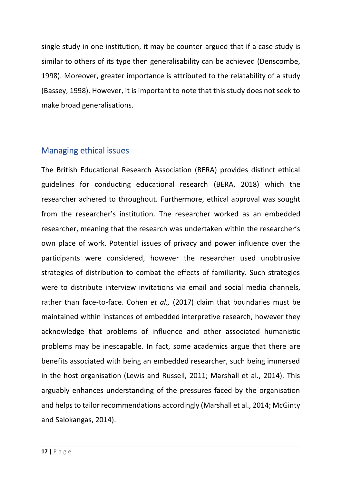single study in one institution, it may be counter-argued that if a case study is similar to others of its type then generalisability can be achieved (Denscombe, 1998). Moreover, greater importance is attributed to the relatability of a study (Bassey, 1998). However, it is important to note that this study does not seek to make broad generalisations.

#### Managing ethical issues

The British Educational Research Association (BERA) provides distinct ethical guidelines for conducting educational research (BERA, 2018) which the researcher adhered to throughout. Furthermore, ethical approval was sought from the researcher's institution. The researcher worked as an embedded researcher, meaning that the research was undertaken within the researcher's own place of work. Potential issues of privacy and power influence over the participants were considered, however the researcher used unobtrusive strategies of distribution to combat the effects of familiarity. Such strategies were to distribute interview invitations via email and social media channels, rather than face-to-face. Cohen *et al.,* (2017) claim that boundaries must be maintained within instances of embedded interpretive research, however they acknowledge that problems of influence and other associated humanistic problems may be inescapable. In fact, some academics argue that there are benefits associated with being an embedded researcher, such being immersed in the host organisation (Lewis and Russell, 2011; Marshall et al., 2014). This arguably enhances understanding of the pressures faced by the organisation and helps to tailor recommendations accordingly (Marshall et al., 2014; McGinty and Salokangas, 2014).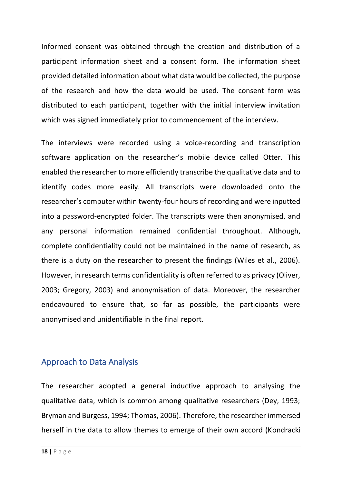Informed consent was obtained through the creation and distribution of a participant information sheet and a consent form. The information sheet provided detailed information about what data would be collected, the purpose of the research and how the data would be used. The consent form was distributed to each participant, together with the initial interview invitation which was signed immediately prior to commencement of the interview.

The interviews were recorded using a voice-recording and transcription software application on the researcher's mobile device called Otter. This enabled the researcher to more efficiently transcribe the qualitative data and to identify codes more easily. All transcripts were downloaded onto the researcher's computer within twenty-four hours of recording and were inputted into a password-encrypted folder. The transcripts were then anonymised, and any personal information remained confidential throughout. Although, complete confidentiality could not be maintained in the name of research, as there is a duty on the researcher to present the findings (Wiles et al., 2006). However, in research terms confidentiality is often referred to as privacy (Oliver, 2003; Gregory, 2003) and anonymisation of data. Moreover, the researcher endeavoured to ensure that, so far as possible, the participants were anonymised and unidentifiable in the final report.

#### Approach to Data Analysis

The researcher adopted a general inductive approach to analysing the qualitative data, which is common among qualitative researchers (Dey, 1993; Bryman and Burgess, 1994; Thomas, 2006). Therefore, the researcher immersed herself in the data to allow themes to emerge of their own accord (Kondracki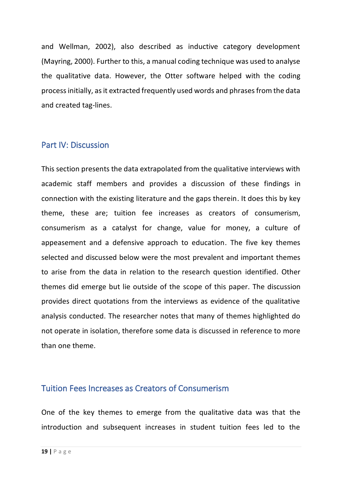and Wellman, 2002), also described as inductive category development (Mayring, 2000). Further to this, a manual coding technique was used to analyse the qualitative data. However, the Otter software helped with the coding process initially, as it extracted frequently used words and phrases from the data and created tag-lines.

#### Part IV: Discussion

This section presents the data extrapolated from the qualitative interviews with academic staff members and provides a discussion of these findings in connection with the existing literature and the gaps therein. It does this by key theme, these are; tuition fee increases as creators of consumerism, consumerism as a catalyst for change, value for money, a culture of appeasement and a defensive approach to education. The five key themes selected and discussed below were the most prevalent and important themes to arise from the data in relation to the research question identified. Other themes did emerge but lie outside of the scope of this paper. The discussion provides direct quotations from the interviews as evidence of the qualitative analysis conducted. The researcher notes that many of themes highlighted do not operate in isolation, therefore some data is discussed in reference to more than one theme.

#### Tuition Fees Increases as Creators of Consumerism

One of the key themes to emerge from the qualitative data was that the introduction and subsequent increases in student tuition fees led to the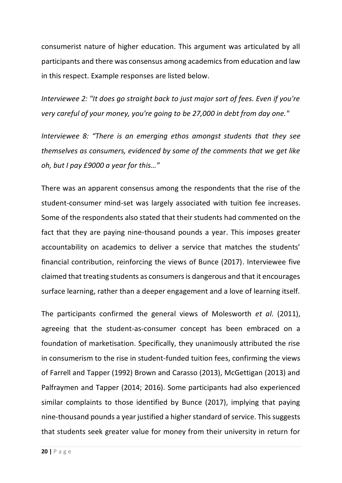consumerist nature of higher education. This argument was articulated by all participants and there was consensus among academics from education and law in this respect. Example responses are listed below.

*Interviewee 2: "It does go straight back to just major sort of fees. Even if you're very careful of your money, you're going to be 27,000 in debt from day one."*

*Interviewee 8: "There is an emerging ethos amongst students that they see themselves as consumers, evidenced by some of the comments that we get like oh, but I pay £9000 a year for this…"*

There was an apparent consensus among the respondents that the rise of the student-consumer mind-set was largely associated with tuition fee increases. Some of the respondents also stated that their students had commented on the fact that they are paying nine-thousand pounds a year. This imposes greater accountability on academics to deliver a service that matches the students' financial contribution, reinforcing the views of Bunce (2017). Interviewee five claimed that treating students as consumers is dangerous and that it encourages surface learning, rather than a deeper engagement and a love of learning itself.

The participants confirmed the general views of Molesworth *et al*. (2011), agreeing that the student-as-consumer concept has been embraced on a foundation of marketisation. Specifically, they unanimously attributed the rise in consumerism to the rise in student-funded tuition fees, confirming the views of Farrell and Tapper (1992) Brown and Carasso (2013), McGettigan (2013) and Palfraymen and Tapper (2014; 2016). Some participants had also experienced similar complaints to those identified by Bunce (2017), implying that paying nine-thousand pounds a year justified a higher standard of service. This suggests that students seek greater value for money from their university in return for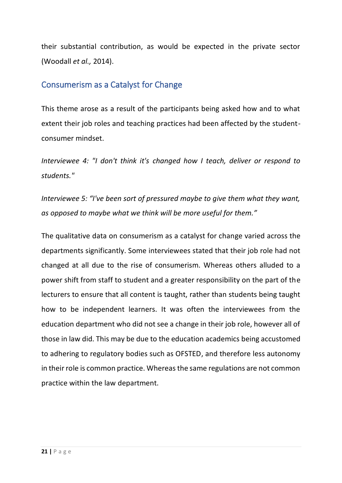their substantial contribution, as would be expected in the private sector (Woodall *et al.,* 2014).

#### Consumerism as a Catalyst for Change

This theme arose as a result of the participants being asked how and to what extent their job roles and teaching practices had been affected by the studentconsumer mindset.

*Interviewee 4: "I don't think it's changed how I teach, deliver or respond to students."*

*Interviewee 5: "I've been sort of pressured maybe to give them what they want, as opposed to maybe what we think will be more useful for them."*

The qualitative data on consumerism as a catalyst for change varied across the departments significantly. Some interviewees stated that their job role had not changed at all due to the rise of consumerism. Whereas others alluded to a power shift from staff to student and a greater responsibility on the part of the lecturers to ensure that all content is taught, rather than students being taught how to be independent learners. It was often the interviewees from the education department who did not see a change in their job role, however all of those in law did. This may be due to the education academics being accustomed to adhering to regulatory bodies such as OFSTED, and therefore less autonomy in their role is common practice. Whereas the same regulations are not common practice within the law department.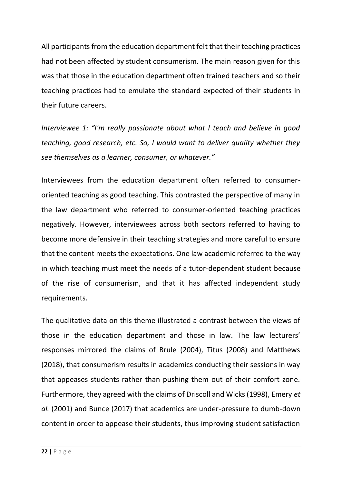All participants from the education department felt that their teaching practices had not been affected by student consumerism. The main reason given for this was that those in the education department often trained teachers and so their teaching practices had to emulate the standard expected of their students in their future careers.

*Interviewee 1: "I'm really passionate about what I teach and believe in good teaching, good research, etc. So, I would want to deliver quality whether they see themselves as a learner, consumer, or whatever."*

Interviewees from the education department often referred to consumeroriented teaching as good teaching. This contrasted the perspective of many in the law department who referred to consumer-oriented teaching practices negatively. However, interviewees across both sectors referred to having to become more defensive in their teaching strategies and more careful to ensure that the content meets the expectations. One law academic referred to the way in which teaching must meet the needs of a tutor-dependent student because of the rise of consumerism, and that it has affected independent study requirements.

The qualitative data on this theme illustrated a contrast between the views of those in the education department and those in law. The law lecturers' responses mirrored the claims of Brule (2004), Titus (2008) and Matthews (2018), that consumerism results in academics conducting their sessions in way that appeases students rather than pushing them out of their comfort zone. Furthermore, they agreed with the claims of Driscoll and Wicks (1998), Emery *et al.* (2001) and Bunce (2017) that academics are under-pressure to dumb-down content in order to appease their students, thus improving student satisfaction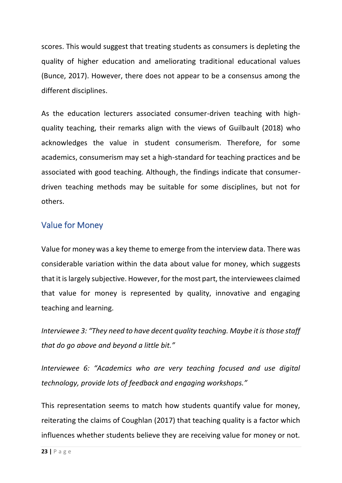scores. This would suggest that treating students as consumers is depleting the quality of higher education and ameliorating traditional educational values (Bunce, 2017). However, there does not appear to be a consensus among the different disciplines.

As the education lecturers associated consumer-driven teaching with highquality teaching, their remarks align with the views of Guilbault (2018) who acknowledges the value in student consumerism. Therefore, for some academics, consumerism may set a high-standard for teaching practices and be associated with good teaching. Although, the findings indicate that consumerdriven teaching methods may be suitable for some disciplines, but not for others.

# Value for Money

Value for money was a key theme to emerge from the interview data. There was considerable variation within the data about value for money, which suggests that it is largely subjective. However, for the most part, the interviewees claimed that value for money is represented by quality, innovative and engaging teaching and learning.

*Interviewee 3: "They need to have decent quality teaching. Maybe it is those staff that do go above and beyond a little bit."*

*Interviewee 6: "Academics who are very teaching focused and use digital technology, provide lots of feedback and engaging workshops."*

This representation seems to match how students quantify value for money, reiterating the claims of Coughlan (2017) that teaching quality is a factor which influences whether students believe they are receiving value for money or not.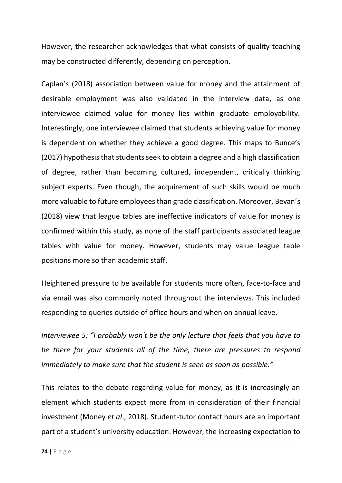However, the researcher acknowledges that what consists of quality teaching may be constructed differently, depending on perception.

Caplan's (2018) association between value for money and the attainment of desirable employment was also validated in the interview data, as one interviewee claimed value for money lies within graduate employability. Interestingly, one interviewee claimed that students achieving value for money is dependent on whether they achieve a good degree. This maps to Bunce's (2017) hypothesis that students seek to obtain a degree and a high classification of degree, rather than becoming cultured, independent, critically thinking subject experts. Even though, the acquirement of such skills would be much more valuable to future employees than grade classification. Moreover, Bevan's (2018) view that league tables are ineffective indicators of value for money is confirmed within this study, as none of the staff participants associated league tables with value for money. However, students may value league table positions more so than academic staff.

Heightened pressure to be available for students more often, face-to-face and via email was also commonly noted throughout the interviews. This included responding to queries outside of office hours and when on annual leave.

*Interviewee 5: "I probably won't be the only lecture that feels that you have to be there for your students all of the time, there are pressures to respond immediately to make sure that the student is seen as soon as possible."*

This relates to the debate regarding value for money, as it is increasingly an element which students expect more from in consideration of their financial investment (Money *et al*., 2018). Student-tutor contact hours are an important part of a student's university education. However, the increasing expectation to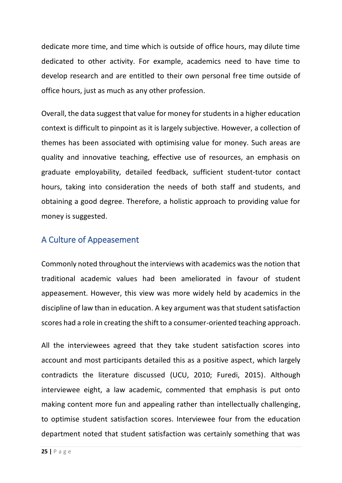dedicate more time, and time which is outside of office hours, may dilute time dedicated to other activity. For example, academics need to have time to develop research and are entitled to their own personal free time outside of office hours, just as much as any other profession.

Overall, the data suggest that value for money for students in a higher education context is difficult to pinpoint as it is largely subjective. However, a collection of themes has been associated with optimising value for money. Such areas are quality and innovative teaching, effective use of resources, an emphasis on graduate employability, detailed feedback, sufficient student-tutor contact hours, taking into consideration the needs of both staff and students, and obtaining a good degree. Therefore, a holistic approach to providing value for money is suggested.

# A Culture of Appeasement

Commonly noted throughout the interviews with academics was the notion that traditional academic values had been ameliorated in favour of student appeasement. However, this view was more widely held by academics in the discipline of law than in education. A key argument was that student satisfaction scores had a role in creating the shift to a consumer-oriented teaching approach.

All the interviewees agreed that they take student satisfaction scores into account and most participants detailed this as a positive aspect, which largely contradicts the literature discussed (UCU, 2010; Furedi, 2015). Although interviewee eight, a law academic, commented that emphasis is put onto making content more fun and appealing rather than intellectually challenging, to optimise student satisfaction scores. Interviewee four from the education department noted that student satisfaction was certainly something that was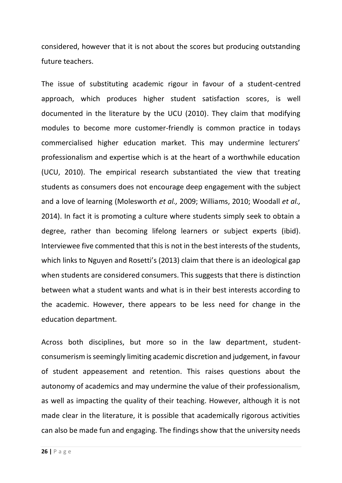considered, however that it is not about the scores but producing outstanding future teachers.

The issue of substituting academic rigour in favour of a student-centred approach, which produces higher student satisfaction scores, is well documented in the literature by the UCU (2010). They claim that modifying modules to become more customer-friendly is common practice in todays commercialised higher education market. This may undermine lecturers' professionalism and expertise which is at the heart of a worthwhile education (UCU, 2010). The empirical research substantiated the view that treating students as consumers does not encourage deep engagement with the subject and a love of learning (Molesworth *et al.,* 2009; Williams, 2010; Woodall *et al.,* 2014). In fact it is promoting a culture where students simply seek to obtain a degree, rather than becoming lifelong learners or subject experts (ibid). Interviewee five commented that this is not in the best interests of the students, which links to Nguyen and Rosetti's (2013) claim that there is an ideological gap when students are considered consumers. This suggests that there is distinction between what a student wants and what is in their best interests according to the academic. However, there appears to be less need for change in the education department.

Across both disciplines, but more so in the law department, studentconsumerism is seemingly limiting academic discretion and judgement, in favour of student appeasement and retention. This raises questions about the autonomy of academics and may undermine the value of their professionalism, as well as impacting the quality of their teaching. However, although it is not made clear in the literature, it is possible that academically rigorous activities can also be made fun and engaging. The findings show that the university needs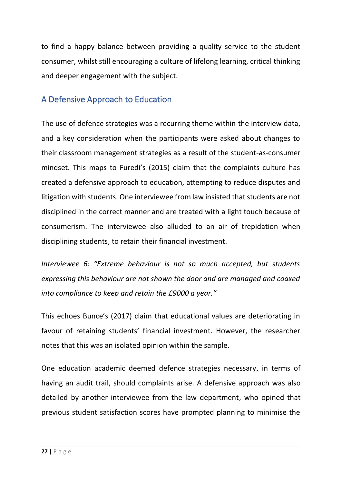to find a happy balance between providing a quality service to the student consumer, whilst still encouraging a culture of lifelong learning, critical thinking and deeper engagement with the subject.

# A Defensive Approach to Education

The use of defence strategies was a recurring theme within the interview data, and a key consideration when the participants were asked about changes to their classroom management strategies as a result of the student-as-consumer mindset. This maps to Furedi's (2015) claim that the complaints culture has created a defensive approach to education, attempting to reduce disputes and litigation with students. One interviewee from law insisted that students are not disciplined in the correct manner and are treated with a light touch because of consumerism. The interviewee also alluded to an air of trepidation when disciplining students, to retain their financial investment.

*Interviewee 6: "Extreme behaviour is not so much accepted, but students expressing this behaviour are not shown the door and are managed and coaxed into compliance to keep and retain the £9000 a year."*

This echoes Bunce's (2017) claim that educational values are deteriorating in favour of retaining students' financial investment. However, the researcher notes that this was an isolated opinion within the sample.

One education academic deemed defence strategies necessary, in terms of having an audit trail, should complaints arise. A defensive approach was also detailed by another interviewee from the law department, who opined that previous student satisfaction scores have prompted planning to minimise the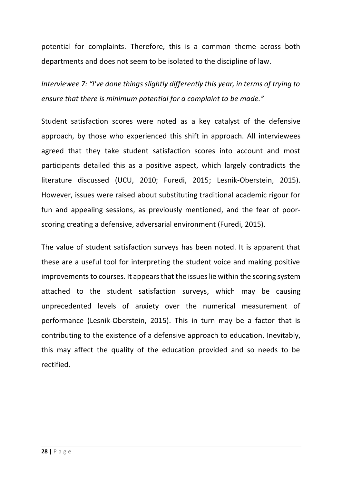potential for complaints. Therefore, this is a common theme across both departments and does not seem to be isolated to the discipline of law.

*Interviewee 7: "I've done things slightly differently this year, in terms of trying to ensure that there is minimum potential for a complaint to be made."*

Student satisfaction scores were noted as a key catalyst of the defensive approach, by those who experienced this shift in approach. All interviewees agreed that they take student satisfaction scores into account and most participants detailed this as a positive aspect, which largely contradicts the literature discussed (UCU, 2010; Furedi, 2015; Lesnik-Oberstein, 2015). However, issues were raised about substituting traditional academic rigour for fun and appealing sessions, as previously mentioned, and the fear of poorscoring creating a defensive, adversarial environment (Furedi, 2015).

The value of student satisfaction surveys has been noted. It is apparent that these are a useful tool for interpreting the student voice and making positive improvements to courses. It appears that the issues lie within the scoring system attached to the student satisfaction surveys, which may be causing unprecedented levels of anxiety over the numerical measurement of performance (Lesnik-Oberstein, 2015). This in turn may be a factor that is contributing to the existence of a defensive approach to education. Inevitably, this may affect the quality of the education provided and so needs to be rectified.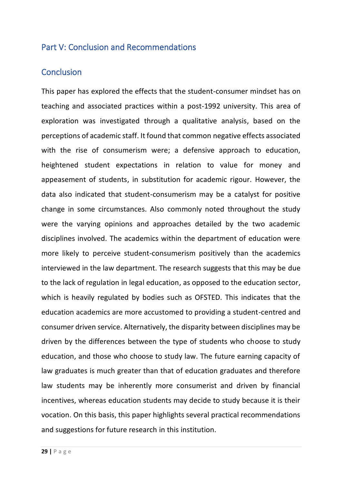#### Part V: Conclusion and Recommendations

#### **Conclusion**

This paper has explored the effects that the student-consumer mindset has on teaching and associated practices within a post-1992 university. This area of exploration was investigated through a qualitative analysis, based on the perceptions of academic staff. It found that common negative effects associated with the rise of consumerism were; a defensive approach to education, heightened student expectations in relation to value for money and appeasement of students, in substitution for academic rigour. However, the data also indicated that student-consumerism may be a catalyst for positive change in some circumstances. Also commonly noted throughout the study were the varying opinions and approaches detailed by the two academic disciplines involved. The academics within the department of education were more likely to perceive student-consumerism positively than the academics interviewed in the law department. The research suggests that this may be due to the lack of regulation in legal education, as opposed to the education sector, which is heavily regulated by bodies such as OFSTED. This indicates that the education academics are more accustomed to providing a student-centred and consumer driven service. Alternatively, the disparity between disciplines may be driven by the differences between the type of students who choose to study education, and those who choose to study law. The future earning capacity of law graduates is much greater than that of education graduates and therefore law students may be inherently more consumerist and driven by financial incentives, whereas education students may decide to study because it is their vocation. On this basis, this paper highlights several practical recommendations and suggestions for future research in this institution.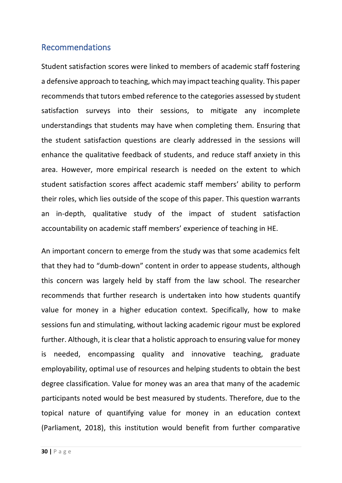#### Recommendations

Student satisfaction scores were linked to members of academic staff fostering a defensive approach to teaching, which may impact teaching quality. This paper recommends that tutors embed reference to the categories assessed by student satisfaction surveys into their sessions, to mitigate any incomplete understandings that students may have when completing them. Ensuring that the student satisfaction questions are clearly addressed in the sessions will enhance the qualitative feedback of students, and reduce staff anxiety in this area. However, more empirical research is needed on the extent to which student satisfaction scores affect academic staff members' ability to perform their roles, which lies outside of the scope of this paper. This question warrants an in-depth, qualitative study of the impact of student satisfaction accountability on academic staff members' experience of teaching in HE.

An important concern to emerge from the study was that some academics felt that they had to "dumb-down" content in order to appease students, although this concern was largely held by staff from the law school. The researcher recommends that further research is undertaken into how students quantify value for money in a higher education context. Specifically, how to make sessions fun and stimulating, without lacking academic rigour must be explored further. Although, it is clear that a holistic approach to ensuring value for money is needed, encompassing quality and innovative teaching, graduate employability, optimal use of resources and helping students to obtain the best degree classification. Value for money was an area that many of the academic participants noted would be best measured by students. Therefore, due to the topical nature of quantifying value for money in an education context (Parliament, 2018), this institution would benefit from further comparative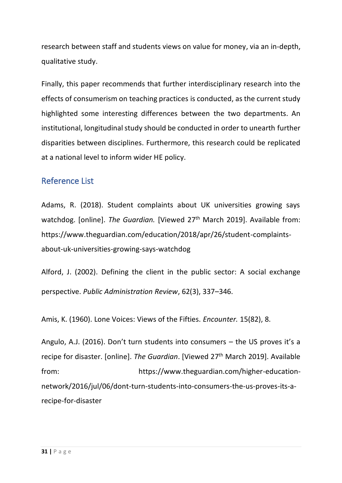research between staff and students views on value for money, via an in-depth, qualitative study.

Finally, this paper recommends that further interdisciplinary research into the effects of consumerism on teaching practices is conducted, as the current study highlighted some interesting differences between the two departments. An institutional, longitudinal study should be conducted in order to unearth further disparities between disciplines. Furthermore, this research could be replicated at a national level to inform wider HE policy.

# Reference List

Adams, R. (2018). Student complaints about UK universities growing says watchdog. [online]. The Guardian. [Viewed 27<sup>th</sup> March 2019]. Available from: https://www.theguardian.com/education/2018/apr/26/student-complaintsabout-uk-universities-growing-says-watchdog

Alford, J. (2002). Defining the client in the public sector: A social exchange perspective. *Public Administration Review*, 62(3), 337–346.

Amis, K. (1960). Lone Voices: Views of the Fifties. *Encounter.* 15(82), 8.

Angulo, A.J. (2016). Don't turn students into consumers – the US proves it's a recipe for disaster. [online]. The Guardian. [Viewed 27<sup>th</sup> March 2019]. Available from: https://www.theguardian.com/higher-educationnetwork/2016/jul/06/dont-turn-students-into-consumers-the-us-proves-its-arecipe-for-disaster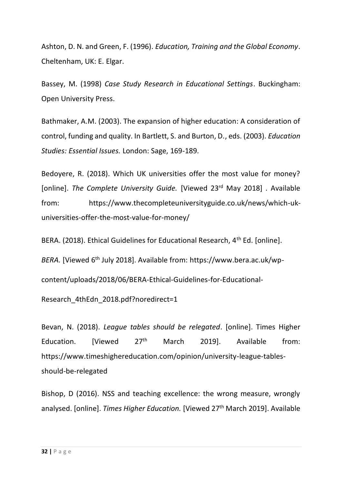Ashton, D. N. and Green, F. (1996). *Education, Training and the Global Economy*. Cheltenham, UK: E. Elgar.

Bassey, M. (1998) *Case Study Research in Educational Settings*. Buckingham: Open University Press.

Bathmaker, A.M. (2003). The expansion of higher education: A consideration of control, funding and quality. In Bartlett, S. and Burton, D., eds. (2003). *Education Studies: Essential Issues.* London: Sage, 169-189.

Bedoyere, R. (2018). Which UK universities offer the most value for money? [online]. *The Complete University Guide.* [Viewed 23rd May 2018] . Available from: https://www.thecompleteuniversityguide.co.uk/news/which-ukuniversities-offer-the-most-value-for-money/

BERA. (2018). Ethical Guidelines for Educational Research, 4<sup>th</sup> Ed. [online].

*BERA.* [Viewed 6<sup>th</sup> July 2018]. Available from: https://www.bera.ac.uk/wp-

content/uploads/2018/06/BERA-Ethical-Guidelines-for-Educational-

Research 4thEdn 2018.pdf?noredirect=1

Bevan, N. (2018). *League tables should be relegated*. [online]. Times Higher Education. [Viewed  $27<sup>th</sup>$  March 2019]. Available from: https://www.timeshighereducation.com/opinion/university-league-tablesshould-be-relegated

Bishop, D (2016). NSS and teaching excellence: the wrong measure, wrongly analysed. [online]. *Times Higher Education.* [Viewed 27th March 2019]. Available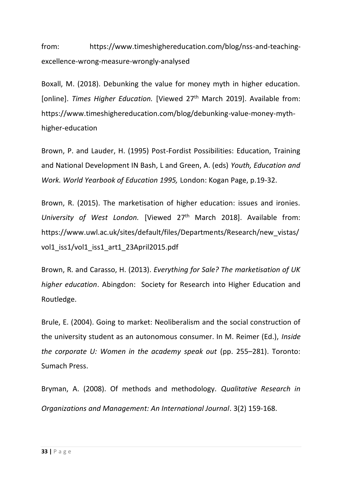from: https://www.timeshighereducation.com/blog/nss-and-teachingexcellence-wrong-measure-wrongly-analysed

Boxall, M. (2018). Debunking the value for money myth in higher education. [online]. Times Higher Education. [Viewed 27<sup>th</sup> March 2019]. Available from: https://www.timeshighereducation.com/blog/debunking-value-money-mythhigher-education

Brown, P. and Lauder, H. (1995) Post-Fordist Possibilities: Education, Training and National Development IN Bash, L and Green, A. (eds) *Youth, Education and Work. World Yearbook of Education 1995,* London: Kogan Page, p.19-32.

Brown, R. (2015). The marketisation of higher education: issues and ironies. *University of West London.* [Viewed 27th March 2018]. Available from: https://www.uwl.ac.uk/sites/default/files/Departments/Research/new\_vistas/ vol1 iss1/vol1 iss1 art1 23April2015.pdf

Brown, R. and Carasso, H. (2013). *Everything for Sale? The marketisation of UK higher education*. Abingdon: Society for Research into Higher Education and Routledge.

Brule, E. (2004). Going to market: Neoliberalism and the social construction of the university student as an autonomous consumer. In M. Reimer (Ed.), *Inside the corporate U: Women in the academy speak out* (pp. 255–281). Toronto: Sumach Press.

Bryman, A. (2008). Of methods and methodology. *Qualitative Research in Organizations and Management: An International Journal*. 3(2) 159-168.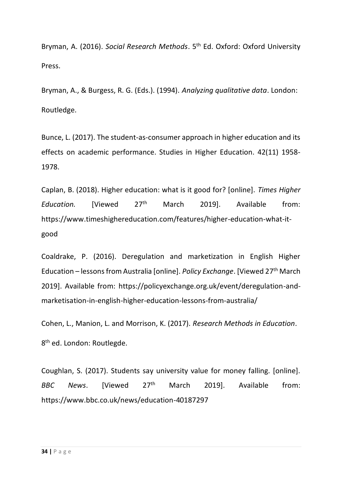Bryman, A. (2016). *Social Research Methods*. 5th Ed. Oxford: Oxford University Press.

Bryman, A., & Burgess, R. G. (Eds.). (1994). *Analyzing qualitative data*. London: Routledge.

Bunce, L. (2017). The student-as-consumer approach in higher education and its effects on academic performance. Studies in Higher Education. 42(11) 1958- 1978.

Caplan, B. (2018). Higher education: what is it good for? [online]. *Times Higher*  Education. [Viewed 27<sup>th</sup> March 2019]. Available from: https://www.timeshighereducation.com/features/higher-education-what-itgood

Coaldrake, P. (2016). Deregulation and marketization in English Higher Education – lessons from Australia [online]. *Policy Exchange*. [Viewed 27th March 2019]. Available from: https://policyexchange.org.uk/event/deregulation-andmarketisation-in-english-higher-education-lessons-from-australia/

Cohen, L., Manion, L. and Morrison, K. (2017). *Research Methods in Education*. 8<sup>th</sup> ed. London: Routlegde.

Coughlan, S. (2017). Students say university value for money falling. [online]. *BBC News*. [Viewed 27 March 2019]. Available from: https://www.bbc.co.uk/news/education-40187297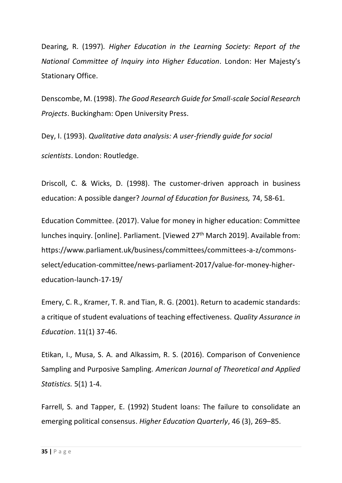Dearing, R. (1997)*. Higher Education in the Learning Society: Report of the National Committee of Inquiry into Higher Education*. London: Her Majesty's Stationary Office.

Denscombe, M. (1998). *The Good Research Guide for Small-scale Social Research Projects*. Buckingham: Open University Press.

Dey, I. (1993). *Qualitative data analysis: A user-friendly guide for social scientists*. London: Routledge.

Driscoll, C. & Wicks, D. (1998). The customer-driven approach in business education: A possible danger? *Journal of Education for Business,* 74, 58-61.

Education Committee. (2017). Value for money in higher education: Committee lunches inquiry. [online]. Parliament. [Viewed 27<sup>th</sup> March 2019]. Available from: https://www.parliament.uk/business/committees/committees-a-z/commonsselect/education-committee/news-parliament-2017/value-for-money-highereducation-launch-17-19/

Emery, C. R., Kramer, T. R. and Tian, R. G. (2001). Return to academic standards: a critique of student evaluations of teaching effectiveness. *Quality Assurance in Education*. 11(1) 37-46.

Etikan, I., Musa, S. A. and Alkassim, R. S. (2016). Comparison of Convenience Sampling and Purposive Sampling. *American Journal of Theoretical and Applied Statistics.* 5(1) 1-4.

Farrell, S. and Tapper, E. (1992) Student loans: The failure to consolidate an emerging political consensus. *Higher Education Quarterly*, 46 (3), 269–85.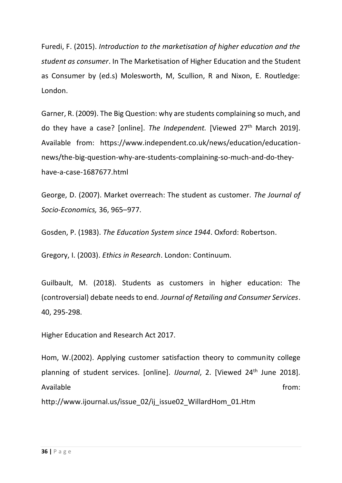Furedi, F. (2015). *Introduction to the marketisation of higher education and the student as consumer*. In The Marketisation of Higher Education and the Student as Consumer by (ed.s) Molesworth, M, Scullion, R and Nixon, E. Routledge: London.

Garner, R. (2009). The Big Question: why are students complaining so much, and do they have a case? [online]. *The Independent.* [Viewed 27th March 2019]. Available from: https://www.independent.co.uk/news/education/educationnews/the-big-question-why-are-students-complaining-so-much-and-do-theyhave-a-case-1687677.html

George, D. (2007). Market overreach: The student as customer. *The Journal of Socio-Economics,* 36, 965–977.

Gosden, P. (1983). *The Education System since 1944*. Oxford: Robertson.

Gregory, I. (2003). *Ethics in Research*. London: Continuum.

Guilbault, M. (2018). Students as customers in higher education: The (controversial) debate needs to end. *Journal of Retailing and Consumer Services*. 40, 295-298.

Higher Education and Research Act 2017.

Hom, W.(2002). Applying customer satisfaction theory to community college planning of student services. [online]. *IJournal*, 2. [Viewed 24th June 2018]. Available from: the state of the state of the state of the state of the state of the state of the state of the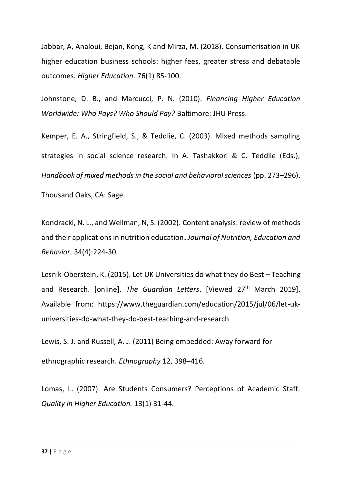Jabbar, A, Analoui, Bejan, Kong, K and Mirza, M. (2018). Consumerisation in UK higher education business schools: higher fees, greater stress and debatable outcomes. *Higher Education.* 76(1) 85-100.

Johnstone, D. B., and Marcucci, P. N. (2010). *Financing Higher Education Worldwide: Who Pays? Who Should Pay?* Baltimore: JHU Press.

Kemper, E. A., Stringfield, S., & Teddlie, C. (2003). Mixed methods sampling strategies in social science research. In A. Tashakkori & C. Teddlie (Eds.), *Handbook of mixed methods in the social and behavioral sciences* (pp. 273–296). Thousand Oaks, CA: Sage.

Kondracki, N. L., and Wellman, N, S. (2002). Content analysis: review of methods and their applications in nutrition education**.** *Journal of Nutrition, Education and Behavior.* 34(4):224-30.

Lesnik-Oberstein, K. (2015). Let UK Universities do what they do Best – Teaching and Research. [online]. *The Guardian Letters*. [Viewed 27th March 2019]. Available from: https://www.theguardian.com/education/2015/jul/06/let-ukuniversities-do-what-they-do-best-teaching-and-research

Lewis, S. J. and Russell, A. J. (2011) Being embedded: Away forward for ethnographic research. *Ethnography* 12, 398–416.

Lomas, L. (2007). Are Students Consumers? Perceptions of Academic Staff. *Quality in Higher Education.* 13(1) 31-44.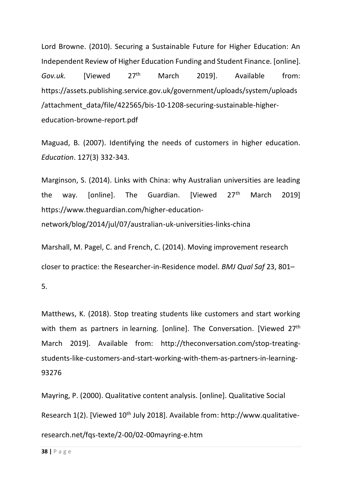Lord Browne. (2010). Securing a Sustainable Future for Higher Education: An Independent Review of Higher Education Funding and Student Finance. [online]. *Gov.uk.* [Viewed 27 March 2019]. Available from: https://assets.publishing.service.gov.uk/government/uploads/system/uploads /attachment\_data/file/422565/bis-10-1208-securing-sustainable-highereducation-browne-report.pdf

Maguad, B. (2007). Identifying the needs of customers in higher education. *Education*. 127(3) 332-343.

Marginson, S. (2014). Links with China: why Australian universities are leading the way. [online]. The Guardian. [Viewed 27<sup>th</sup> March 2019] https://www.theguardian.com/higher-educationnetwork/blog/2014/jul/07/australian-uk-universities-links-china

Marshall, M. Pagel, C. and French, C. (2014). Moving improvement research closer to practice: the Researcher-in-Residence model. *BMJ Qual Saf* 23, 801–

5.

Matthews, K. (2018). Stop treating students like customers and start working with them as partners in learning. [online]. The Conversation. [Viewed 27<sup>th</sup> March 2019]. Available from: http://theconversation.com/stop-treatingstudents-like-customers-and-start-working-with-them-as-partners-in-learning-93276

Mayring, P. (2000). Qualitative content analysis. [online]. Qualitative Social Research 1(2). [Viewed 10<sup>th</sup> July 2018]. Available from: http://www.qualitativeresearch.net/fqs-texte/2-00/02-00mayring-e.htm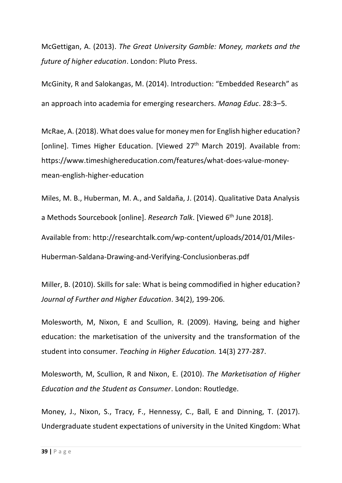McGettigan, A. (2013). *The Great University Gamble: Money, markets and the future of higher education*. London: Pluto Press.

McGinity, R and Salokangas, M. (2014). Introduction: "Embedded Research" as an approach into academia for emerging researchers. *Manag Educ*. 28:3–5.

McRae, A. (2018). What does value for money men for English higher education? [online]. Times Higher Education. [Viewed 27<sup>th</sup> March 2019]. Available from: https://www.timeshighereducation.com/features/what-does-value-moneymean-english-higher-education

Miles, M. B., Huberman, M. A., and Saldaña, J. (2014). Qualitative Data Analysis a Methods Sourcebook [online]. *Research Talk*. [Viewed 6th June 2018]. Available from: http://researchtalk.com/wp-content/uploads/2014/01/Miles-

Huberman-Saldana-Drawing-and-Verifying-Conclusionberas.pdf

Miller, B. (2010). Skills for sale: What is being commodified in higher education? *Journal of Further and Higher Education*. 34(2), 199-206.

Molesworth, M, Nixon, E and Scullion, R. (2009). Having, being and higher education: the marketisation of the university and the transformation of the student into consumer. *Teaching in Higher Education.* 14(3) 277-287.

Molesworth, M, Scullion, R and Nixon, E. (2010). *The Marketisation of Higher Education and the Student as Consumer*. London: Routledge.

Money, J., Nixon, S., Tracy, F., Hennessy, C., Ball, E and Dinning, T. (2017). Undergraduate student expectations of university in the United Kingdom: What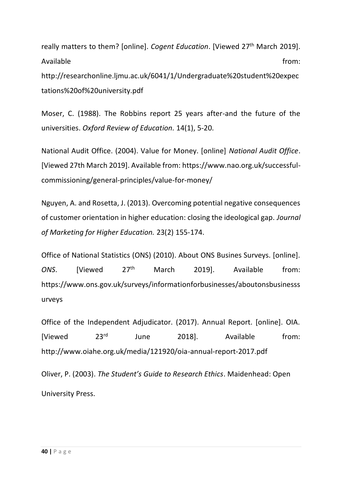really matters to them? [online]. *Cogent Education*. [Viewed 27<sup>th</sup> March 2019]. Available from: the state of the state of the state of the state of the state of the state of the state of the http://researchonline.ljmu.ac.uk/6041/1/Undergraduate%20student%20expec tations%20of%20university.pdf

Moser, C. (1988). The Robbins report 25 years after-and the future of the universities. *Oxford Review of Education.* 14(1), 5-20.

National Audit Office. (2004). Value for Money. [online] *National Audit Office*. [Viewed 27th March 2019]. Available from: https://www.nao.org.uk/successfulcommissioning/general-principles/value-for-money/

Nguyen, A. and Rosetta, J. (2013). Overcoming potential negative consequences of customer orientation in higher education: closing the ideological gap. *Journal of Marketing for Higher Education.* 23(2) 155-174.

Office of National Statistics (ONS) (2010). About ONS Busines Surveys. [online]. *ONS*. [Viewed 27 March 2019]. Available from: https://www.ons.gov.uk/surveys/informationforbusinesses/aboutonsbusinesss urveys

Office of the Independent Adjudicator. (2017). Annual Report. [online]. OIA. [Viewed  $23^{rd}$  June 2018]. Available from: http://www.oiahe.org.uk/media/121920/oia-annual-report-2017.pdf

Oliver, P. (2003). *The Student's Guide to Research Ethics*. Maidenhead: Open University Press.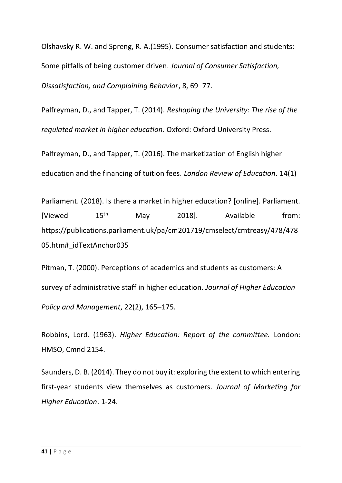Olshavsky R. W. and Spreng, R. A.(1995). Consumer satisfaction and students: Some pitfalls of being customer driven. *Journal of Consumer Satisfaction, Dissatisfaction, and Complaining Behavior*, 8, 69–77.

Palfreyman, D., and Tapper, T. (2014). *Reshaping the University: The rise of the regulated market in higher education*. Oxford: Oxford University Press.

Palfreyman, D., and Tapper, T. (2016). The marketization of English higher education and the financing of tuition fees. *London Review of Education*. 14(1)

Parliament. (2018). Is there a market in higher education? [online]. Parliament. [Viewed  $15<sup>th</sup>$  May 2018]. Available from: https://publications.parliament.uk/pa/cm201719/cmselect/cmtreasy/478/478 05.htm#\_idTextAnchor035

Pitman, T. (2000). Perceptions of academics and students as customers: A survey of administrative staff in higher education. *Journal of Higher Education Policy and Management*, 22(2), 165–175.

Robbins, Lord. (1963). *Higher Education: Report of the committee.* London: HMSO, Cmnd 2154.

Saunders, D. B. (2014). They do not buy it: exploring the extent to which entering first-year students view themselves as customers. *Journal of Marketing for Higher Education*. 1-24.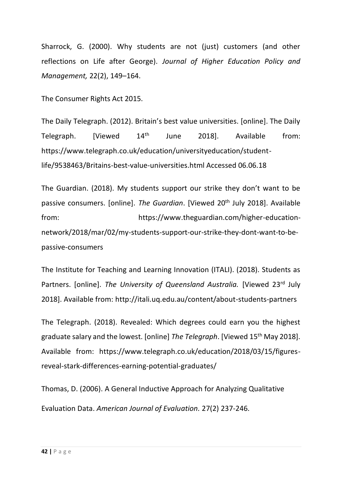Sharrock, G. (2000). Why students are not (just) customers (and other reflections on Life after George). *Journal of Higher Education Policy and Management,* 22(2), 149–164.

The Consumer Rights Act 2015.

The Daily Telegraph. (2012). Britain's best value universities. [online]. The Daily Telegraph. [Viewed 14th June 2018]. Available from: https://www.telegraph.co.uk/education/universityeducation/studentlife/9538463/Britains-best-value-universities.html Accessed 06.06.18

The Guardian. (2018). My students support our strike they don't want to be passive consumers. [online]. *The Guardian*. [Viewed 20<sup>th</sup> July 2018]. Available from: https://www.theguardian.com/higher-educationnetwork/2018/mar/02/my-students-support-our-strike-they-dont-want-to-bepassive-consumers

The Institute for Teaching and Learning Innovation (ITALI). (2018). Students as Partners. [online]. *The University of Queensland Australia*. [Viewed 23<sup>rd</sup> July 2018]. Available from: http://itali.uq.edu.au/content/about-students-partners

The Telegraph. (2018). Revealed: Which degrees could earn you the highest graduate salary and the lowest. [online] *The Telegraph*. [Viewed 15th May 2018]. Available from: https://www.telegraph.co.uk/education/2018/03/15/figuresreveal-stark-differences-earning-potential-graduates/

Thomas, D. (2006). A General Inductive Approach for Analyzing Qualitative Evaluation Data. *American Journal of Evaluation.* 27(2) 237-246.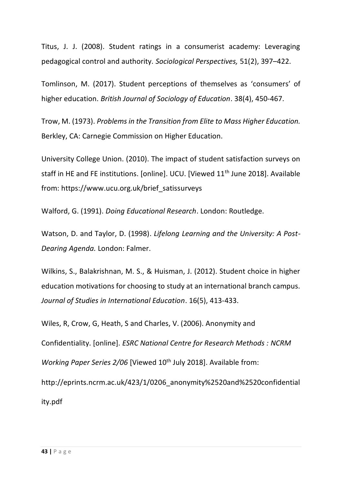Titus, J. J. (2008). Student ratings in a consumerist academy: Leveraging pedagogical control and authority. *Sociological Perspectives,* 51(2), 397–422.

Tomlinson, M. (2017). Student perceptions of themselves as 'consumers' of higher education. *British Journal of Sociology of Education*. 38(4), 450-467.

Trow, M. (1973). *Problems in the Transition from Elite to Mass Higher Education.* Berkley, CA: Carnegie Commission on Higher Education.

University College Union. (2010). The impact of student satisfaction surveys on staff in HE and FE institutions. [online]. UCU. [Viewed 11<sup>th</sup> June 2018]. Available from: https://www.ucu.org.uk/brief\_satissurveys

Walford, G. (1991). *Doing Educational Research*. London: Routledge.

Watson, D. and Taylor, D. (1998). *Lifelong Learning and the University: A Post-Dearing Agenda.* London: Falmer.

Wilkins, S., Balakrishnan, M. S., & Huisman, J. (2012). Student choice in higher education motivations for choosing to study at an international branch campus. *Journal of Studies in International Education*. 16(5), 413-433.

Wiles, R, Crow, G, Heath, S and Charles, V. (2006). Anonymity and Confidentiality. [online]. *ESRC National Centre for Research Methods : NCRM Working Paper Series 2/06* [Viewed 10<sup>th</sup> July 2018]. Available from: http://eprints.ncrm.ac.uk/423/1/0206\_anonymity%2520and%2520confidential ity.pdf